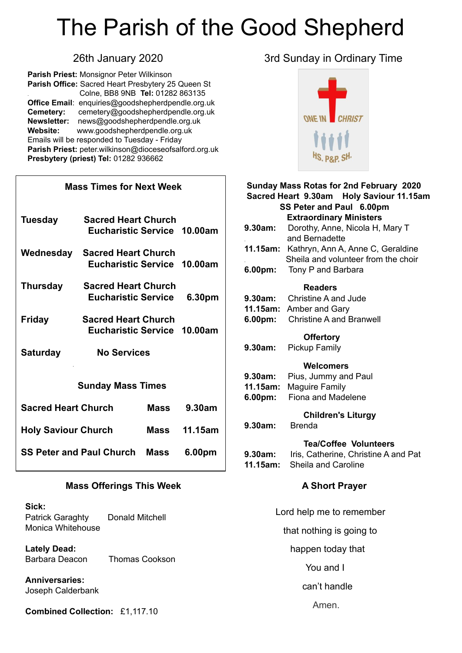# The Parish of the Good Shepherd

**Parish Priest:** Monsignor Peter Wilkinson **Parish Office:** Sacred Heart Presbytery 25 Queen St . Colne, BB8 9NB **Tel:** 01282 863135 **Office Email**: [enquiries@goodshepherdpendle.org.uk](mailto:enquiries@goodshepherdpendle.org.uk) **Cemetery:** cemetery@goodshepherdpendle.org.uk **Newsletter:** news@goodshepherdpendle.org.uk **Website:** www.goodshepherdpendle.org.uk Emails will be responded to Tuesday - Friday **Parish Priest:** [peter.wilkinson@dioceseofsalford.org.uk](mailto:Emailpeter.wilkinson@dioceseofsalford.org.uk) **Presbytery (priest) Tel:** 01282 936662

| <b>Mass Times for Next Week</b> |                                                           |             |         |  |
|---------------------------------|-----------------------------------------------------------|-------------|---------|--|
| <b>Tuesday</b>                  | <b>Sacred Heart Church</b><br>Eucharistic Service 10.00am |             |         |  |
| Wednesday                       | <b>Sacred Heart Church</b><br>Eucharistic Service 10.00am |             |         |  |
| <b>Thursday</b>                 | <b>Sacred Heart Church</b><br><b>Eucharistic Service</b>  |             | 6.30pm  |  |
| <b>Friday</b>                   | <b>Sacred Heart Church</b><br>Eucharistic Service 10.00am |             |         |  |
| <b>Saturday</b>                 | <b>No Services</b>                                        |             |         |  |
| <b>Sunday Mass Times</b>        |                                                           |             |         |  |
| <b>Sacred Heart Church</b>      |                                                           | Mass        | 9.30am  |  |
| <b>Holy Saviour Church</b>      |                                                           | Mass        | 11.15am |  |
| <b>SS Peter and Paul Church</b> |                                                           | <b>Mass</b> | 6.00pm  |  |

#### **Mass Offerings This Week**

#### **Sick:**

Patrick Garaghty Donald Mitchell Monica Whitehouse

**Lately Dead:**  Barbara Deacon Thomas Cookson

**Anniversaries:** Joseph Calderbank

**Combined Collection:** £1,117.10

### 26th January 2020 3rd Sunday in Ordinary Time



| Sunday Mass Rotas for 2nd February 2020  |                                                   |  |  |
|------------------------------------------|---------------------------------------------------|--|--|
| Sacred Heart 9.30am Holy Saviour 11.15am |                                                   |  |  |
| SS Peter and Paul 6.00pm                 |                                                   |  |  |
| <b>Extraordinary Ministers</b>           |                                                   |  |  |
| 9.30am:                                  | Dorothy, Anne, Nicola H, Mary T<br>and Bernadette |  |  |
| 11.15am:                                 | Kathryn, Ann A, Anne C, Geraldine                 |  |  |
|                                          | Sheila and volunteer from the choir               |  |  |
| 6.00pm:                                  | Tony P and Barbara                                |  |  |
|                                          |                                                   |  |  |
|                                          | <b>Readers</b>                                    |  |  |
| 9.30am:                                  | <b>Christine A and Jude</b>                       |  |  |
| 11.15am:                                 | Amber and Gary                                    |  |  |
| $6.00pm$ :                               | <b>Christine A and Branwell</b>                   |  |  |
|                                          | <b>Offertory</b>                                  |  |  |
| 9.30am:                                  | <b>Pickup Family</b>                              |  |  |
|                                          |                                                   |  |  |
| 9.30am:                                  | Welcomers                                         |  |  |
| 11.15am:                                 | Pius, Jummy and Paul<br><b>Maguire Family</b>     |  |  |
| 6.00 <sub>pm</sub>                       | Fiona and Madelene                                |  |  |
|                                          |                                                   |  |  |
| <b>Children's Liturgy</b>                |                                                   |  |  |
| 9.30am:                                  | <b>Brenda</b>                                     |  |  |
|                                          | <b>Tea/Coffee Volunteers</b>                      |  |  |
| 9.30am:                                  | Iris, Catherine, Christine A and Pat              |  |  |
| 11.15am:                                 | Sheila and Caroline                               |  |  |
|                                          |                                                   |  |  |
| <b>A Short Prayer</b>                    |                                                   |  |  |
|                                          |                                                   |  |  |
| Lord help me to remember                 |                                                   |  |  |
| that nothing is going to                 |                                                   |  |  |
|                                          |                                                   |  |  |

happen today that

You and I

can't handle

Amen.